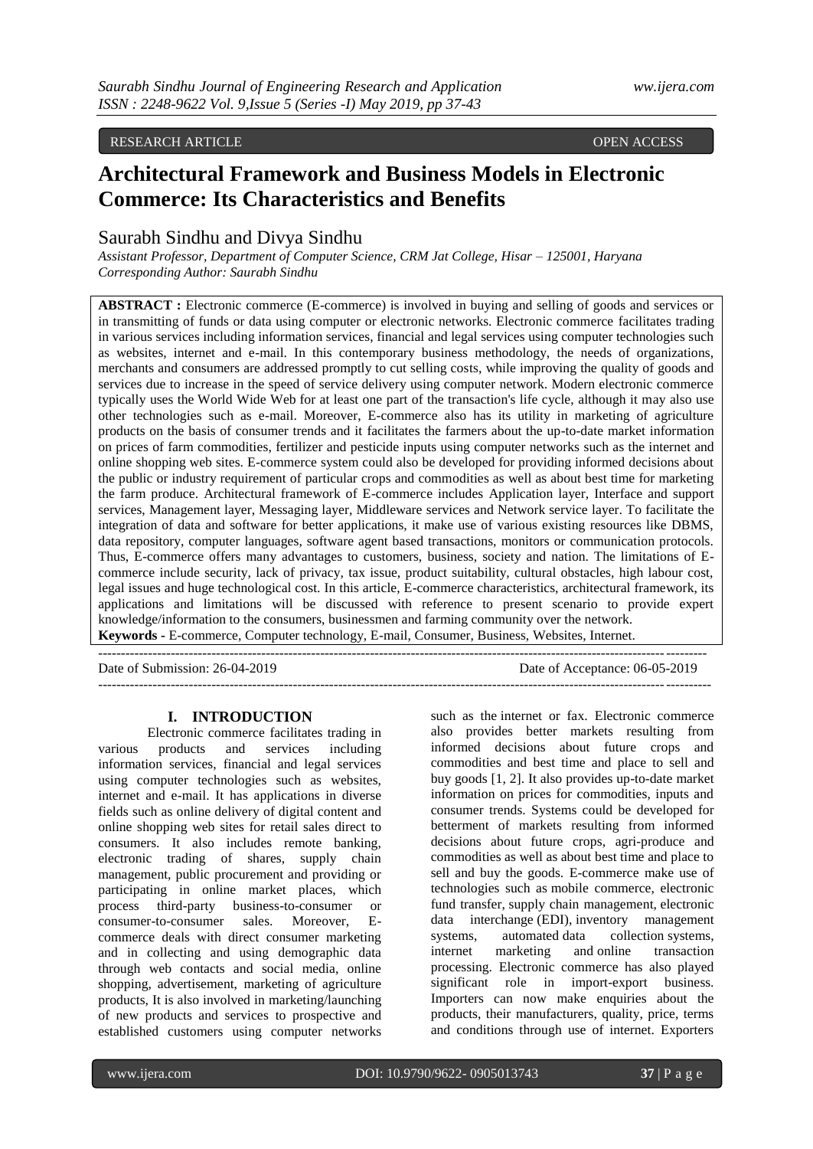# RESEARCH ARTICLE **CONSERVERS** OPEN ACCESS OPEN ACCESS

# **Architectural Framework and Business Models in Electronic Commerce: Its Characteristics and Benefits**

# Saurabh Sindhu and Divya Sindhu

*Assistant Professor, Department of Computer Science, CRM Jat College, Hisar – 125001, Haryana Corresponding Author: Saurabh Sindhu*

**ABSTRACT**: Electronic commerce (E-commerce) is involved in buying and selling of goods and services or in transmitting of funds or data using computer or electronic networks. Electronic commerce facilitates trading in various services including information services, financial and legal services using computer technologies such as websites, internet and e-mail. In this contemporary business methodology, the needs of organizations, merchants and consumers are addressed promptly to cut selling costs, while improving the quality of goods and services due to increase in the speed of service delivery using computer network. Modern electronic commerce typically uses the World Wide Web for at least one part of the transaction's life cycle, although it may also use other technologies such as e-mail. Moreover, E-commerce also has its utility in marketing of agriculture products on the basis of consumer trends and it facilitates the farmers about the up-to-date market information on prices of farm commodities, fertilizer and pesticide inputs using computer networks such as the internet and online shopping web sites. E-commerce system could also be developed for providing informed decisions about the public or industry requirement of particular crops and commodities as well as about best time for marketing the farm produce. Architectural framework of E-commerce includes Application layer, Interface and support services, Management layer, Messaging layer, Middleware services and Network service layer. To facilitate the integration of data and software for better applications, it make use of various existing resources like DBMS, data repository, computer languages, software agent based transactions, monitors or communication protocols. Thus, E-commerce offers many advantages to customers, business, society and nation. The limitations of Ecommerce include security, lack of privacy, tax issue, product suitability, cultural obstacles, high labour cost, legal issues and huge technological cost. In this article, E-commerce characteristics, architectural framework, its applications and limitations will be discussed with reference to present scenario to provide expert knowledge/information to the consumers, businessmen and farming community over the network. **Keywords -** E-commerce, Computer technology, E-mail, Consumer, Business, Websites, Internet.

| Date of Submission: 26-04-2019 | Date of Acceptance: 06-05-2019 |
|--------------------------------|--------------------------------|
|                                |                                |

#### **I. INTRODUCTION**

Electronic commerce facilitates trading in various products and services including information services, financial and legal services using computer technologies such as websites, internet and e-mail. It has applications in diverse fields such as online delivery of digital content and online shopping web sites for retail sales direct to consumers. It also includes remote banking, electronic trading of shares, supply chain management, public procurement and providing or participating in online market places, which process third-party business-to-consumer or consumer-to-consumer sales. Moreover, Ecommerce deals with direct consumer marketing and in collecting and using demographic data through web contacts and social media, online shopping, advertisement, marketing of agriculture products, It is also involved in marketing/launching of new products and services to prospective and established customers using computer networks

such as the internet or fax. Electronic commerce also provides better markets resulting from informed decisions about future crops and commodities and best time and place to sell and buy goods [1, 2]. It also provides up-to-date market information on prices for commodities, inputs and consumer trends. Systems could be developed for betterment of markets resulting from informed decisions about future crops, agri-produce and commodities as well as about best time and place to sell and buy the goods. E-commerce make use of technologies such as mobile commerce, electronic fund transfer, supply chain management, electronic data interchange (EDI), inventory management systems, automated data collection systems, internet marketing and online transaction processing. Electronic commerce has also played significant role in import-export business. Importers can now make enquiries about the products, their manufacturers, quality, price, terms and conditions through use of internet. Exporters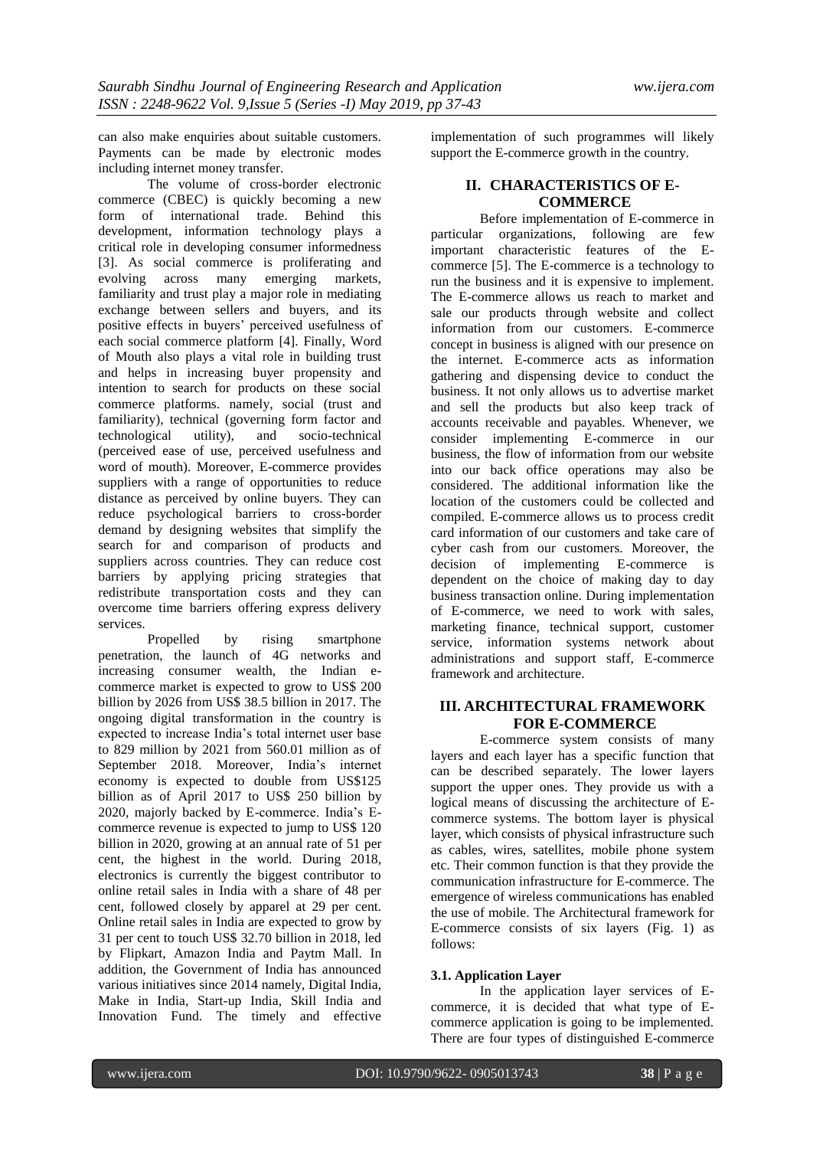can also make enquiries about suitable customers. Payments can be made by electronic modes including internet money transfer.

The volume of cross-border [electronic](https://www.sciencedirect.com/topics/computer-science/electronic-commerce)  [commerce](https://www.sciencedirect.com/topics/computer-science/electronic-commerce) (CBEC) is quickly becoming a new form of international trade. Behind this development, [information technology](https://www.sciencedirect.com/topics/computer-science/information-technology) plays a critical role in developing consumer informedness [3]. As social commerce is proliferating and evolving across many emerging markets, familiarity and trust play a major role in mediating exchange between sellers and buyers, and its positive effects in buyers" perceived usefulness of each social commerce platform [4]. Finally, Word of Mouth also plays a vital role in building trust and helps in increasing buyer propensity and intention to search for products on these social commerce platforms. namely, social (trust and familiarity), technical (governing form factor and technological utility), and socio-technical (perceived ease of use, perceived usefulness and word of mouth). Moreover, E-commerce provides suppliers with a range of opportunities to reduce distance as perceived by online buyers. They can reduce psychological barriers to cross-border demand by designing websites that simplify the search for and comparison of products and suppliers across countries. They can reduce cost barriers by applying pricing strategies that redistribute transportation costs and they can overcome time barriers offering express delivery services.

Propelled by rising smartphone penetration, the launch of 4G networks and increasing consumer wealth, the Indian ecommerce market is expected to grow to US\$ 200 billion by 2026 from US\$ 38.5 billion in 2017. The ongoing digital transformation in the country is expected to increase India"s total internet user base to 829 million by 2021 from 560.01 million as of September 2018. Moreover, India"s internet economy is expected to double from US\$125 billion as of April 2017 to US\$ 250 billion by 2020, majorly backed by E-commerce. India"s Ecommerce revenue is expected to jump to US\$ 120 billion in 2020, growing at an annual rate of 51 per cent, the highest in the world. During 2018, electronics is currently the biggest contributor to online retail sales in India with a share of 48 per cent, followed closely by apparel at 29 per cent. Online retail sales in India are expected to grow by 31 per cent to touch US\$ 32.70 billion in 2018, led by Flipkart, Amazon India and Paytm Mall. In addition, the Government of India has announced various initiatives since 2014 namely, Digital India, Make in India, Start-up India, Skill India and Innovation Fund. The timely and effective

implementation of such programmes will likely support the E-commerce growth in the country.

# **II. CHARACTERISTICS OF E-COMMERCE**

Before implementation of E-commerce in particular organizations, following are few important characteristic features of the Ecommerce [5]. The E-commerce is a technology to run the business and it is expensive to implement. The E-commerce allows us reach to market and sale our products through website and collect information from our customers. E-commerce concept in business is aligned with our presence on the internet. E-commerce acts as information gathering and dispensing device to conduct the business. It not only allows us to advertise market and sell the products but also keep track of accounts receivable and payables. Whenever, we consider implementing E-commerce in our business, the flow of information from our website into our back office operations may also be considered. The additional information like the location of the customers could be collected and compiled. E-commerce allows us to process credit card information of our customers and take care of cyber cash from our customers. Moreover, the decision of implementing E-commerce is dependent on the choice of making day to day business transaction online. During implementation of E-commerce, we need to work with sales, marketing finance, technical support, customer service, information systems network about administrations and support staff, E-commerce framework and architecture.

# **III. ARCHITECTURAL FRAMEWORK FOR E-COMMERCE**

E-commerce system consists of many layers and each layer has a specific function that can be described separately. The lower layers support the upper ones. They provide us with a logical means of discussing the architecture of Ecommerce systems. The bottom layer is physical layer, which consists of physical infrastructure such as cables, wires, satellites, mobile phone system etc. Their common function is that they provide the communication infrastructure for E-commerce. The emergence of wireless communications has enabled the use of mobile. The Architectural framework for E-commerce consists of six layers (Fig. 1) as follows:

# **3.1. Application Layer**

In the application layer services of Ecommerce, it is decided that what type of Ecommerce application is going to be implemented. There are four types of distinguished E-commerce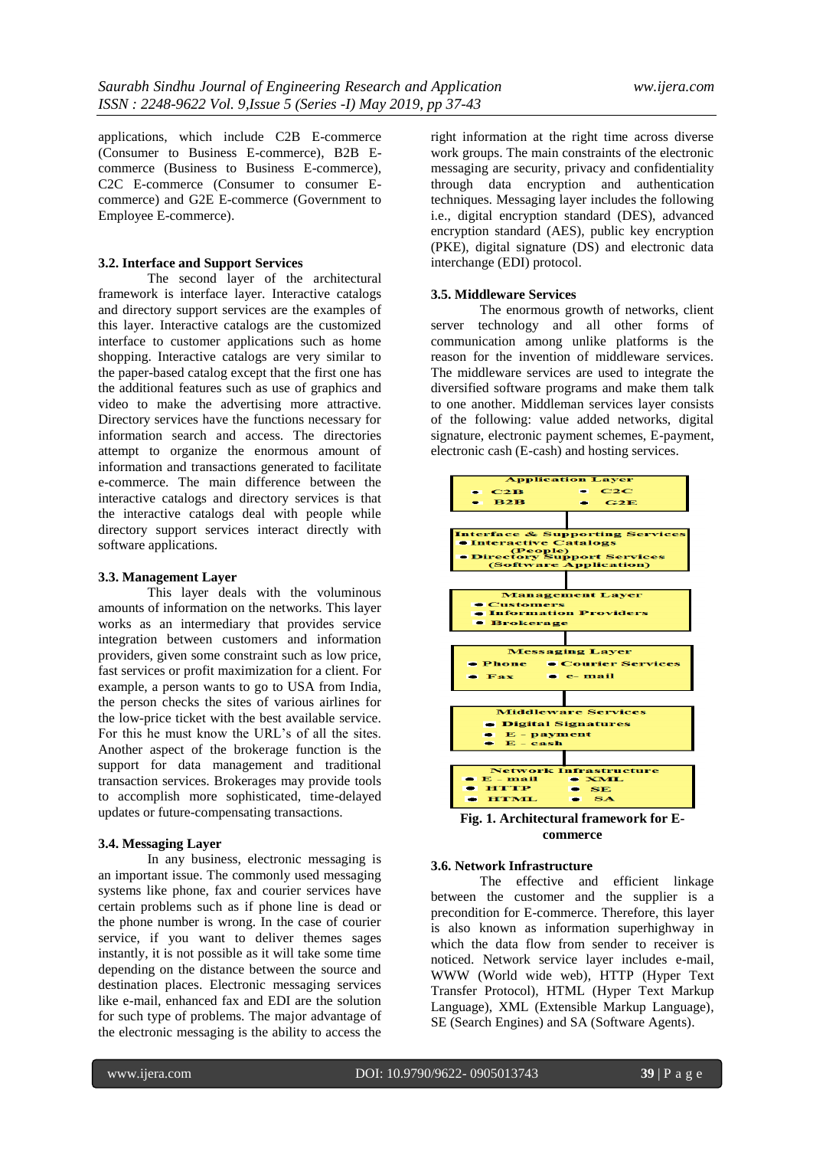applications, which include C2B E-commerce (Consumer to Business E-commerce), B2B Ecommerce (Business to Business E-commerce), C2C E-commerce (Consumer to consumer Ecommerce) and G2E E-commerce (Government to Employee E-commerce).

#### **3.2. Interface and Support Services**

The second layer of the architectural framework is interface layer. Interactive catalogs and directory support services are the examples of this layer. Interactive catalogs are the customized interface to customer applications such as home shopping. Interactive catalogs are very similar to the paper-based catalog except that the first one has the additional features such as use of graphics and video to make the advertising more attractive. Directory services have the functions necessary for information search and access. The directories attempt to organize the enormous amount of information and transactions generated to facilitate e-commerce. The main difference between the interactive catalogs and directory services is that the interactive catalogs deal with people while directory support services interact directly with software applications.

#### **3.3. Management Layer**

This layer deals with the voluminous amounts of information on the networks. This layer works as an intermediary that provides service integration between customers and information providers, given some constraint such as low price, fast services or profit maximization for a client. For example, a person wants to go to USA from India, the person checks the sites of various airlines for the low-price ticket with the best available service. For this he must know the URL"s of all the sites. Another aspect of the brokerage function is the support for data management and traditional transaction services. Brokerages may provide tools to accomplish more sophisticated, time-delayed updates or future-compensating transactions.

#### **3.4. Messaging Layer**

In any business, electronic messaging is an important issue. The commonly used messaging systems like phone, fax and courier services have certain problems such as if phone line is dead or the phone number is wrong. In the case of courier service, if you want to deliver themes sages instantly, it is not possible as it will take some time depending on the distance between the source and destination places. Electronic messaging services like e-mail, enhanced fax and EDI are the solution for such type of problems. The major advantage of the electronic messaging is the ability to access the

right information at the right time across diverse work groups. The main constraints of the electronic messaging are security, privacy and confidentiality through data encryption and authentication techniques. Messaging layer includes the following i.e., digital encryption standard (DES), advanced encryption standard (AES), public key encryption (PKE), digital signature (DS) and electronic data interchange (EDI) protocol.

#### **3.5. Middleware Services**

The enormous growth of networks, client server technology and all other forms of communication among unlike platforms is the reason for the invention of middleware services. The middleware services are used to integrate the diversified software programs and make them talk to one another. Middleman services layer consists of the following: value added networks, digital signature, electronic payment schemes, E-payment, electronic cash (E-cash) and hosting services.



# **commerce**

#### **3.6. Network Infrastructure**

The effective and efficient linkage between the customer and the supplier is a precondition for E-commerce. Therefore, this layer is also known as information superhighway in which the data flow from sender to receiver is noticed. Network service layer includes e-mail, WWW (World wide web), HTTP (Hyper Text Transfer Protocol), HTML (Hyper Text Markup Language), XML (Extensible Markup Language), SE (Search Engines) and SA (Software Agents).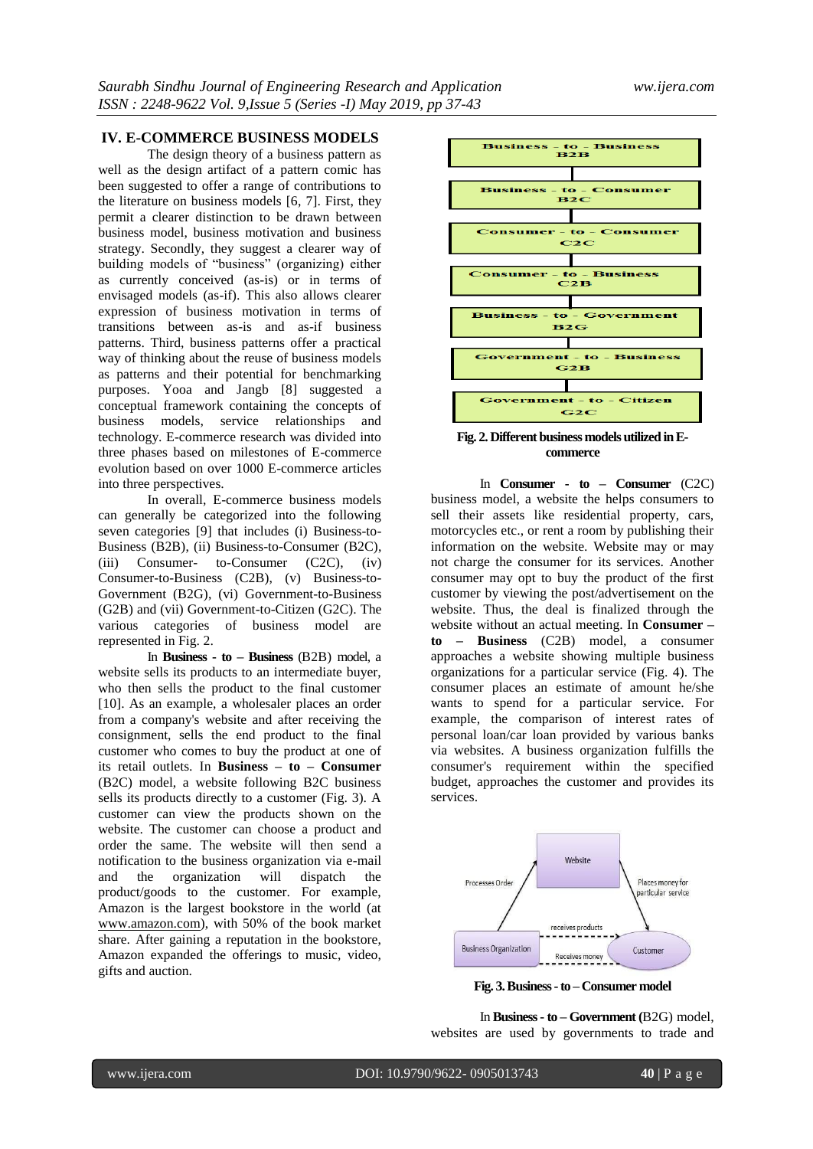# **IV. E-COMMERCE BUSINESS MODELS**

The design theory of a business pattern as well as the design artifact of a pattern comic has been suggested to offer a range of contributions to the literature on business models [6, 7]. First, they permit a clearer distinction to be drawn between business model, business motivation and business strategy. Secondly, they suggest a clearer way of building models of "business" (organizing) either as currently conceived (as-is) or in terms of envisaged models (as-if). This also allows clearer expression of business motivation in terms of transitions between as-is and as-if business patterns. Third, business patterns offer a practical way of thinking about the reuse of business models as patterns and their potential for benchmarking purposes. Yooa and Jangb [8] suggested a conceptual framework containing the concepts of business models, service relationships and technology. E-commerce research was divided into three phases based on milestones of E-commerce evolution based on over 1000 E-commerce articles into three perspectives.

In overall, E-commerce business models can generally be categorized into the following seven categories [9] that includes (i) Business-to-Business (B2B), (ii) Business-to-Consumer (B2C), (iii) Consumer- to-Consumer (C2C), (iv) Consumer-to-Business (C2B), (v) Business-to-Government (B2G), (vi) Government-to-Business (G2B) and (vii) Government-to-Citizen (G2C). The various categories of business model are represented in Fig. 2.

In **Business - to – Business** (B2B) model, a website sells its products to an intermediate buyer, who then sells the product to the final customer [10]. As an example, a wholesaler places an order from a company's website and after receiving the consignment, sells the end product to the final customer who comes to buy the product at one of its retail outlets. In **Business – to – Consumer** (B2C) model, a website following B2C business sells its products directly to a customer (Fig. 3). A customer can view the products shown on the website. The customer can choose a product and order the same. The website will then send a notification to the business organization via e-mail and the organization will dispatch the product/goods to the customer. For example, Amazon is the largest bookstore in the world (at [www.amazon.com\)](http://www.amazon.com/), with 50% of the book market share. After gaining a reputation in the bookstore, Amazon expanded the offerings to music, video, gifts and auction.



**Fig. 2. Different business models utilized inEcommerce**

In **Consumer - to – Consumer** (C2C) business model, a website the helps consumers to sell their assets like residential property, cars, motorcycles etc., or rent a room by publishing their information on the website. Website may or may not charge the consumer for its services. Another consumer may opt to buy the product of the first customer by viewing the post/advertisement on the website. Thus, the deal is finalized through the website without an actual meeting. In **Consumer – to – Business** (C2B) model, a consumer approaches a website showing multiple business organizations for a particular service (Fig. 4). The consumer places an estimate of amount he/she wants to spend for a particular service. For example, the comparison of interest rates of personal loan/car loan provided by various banks via websites. A business organization fulfills the consumer's requirement within the specified budget, approaches the customer and provides its services.



**Fig. 3. Business -to – Consumer model**

In **Business - to – Government (**B2G) model, websites are used by governments to trade and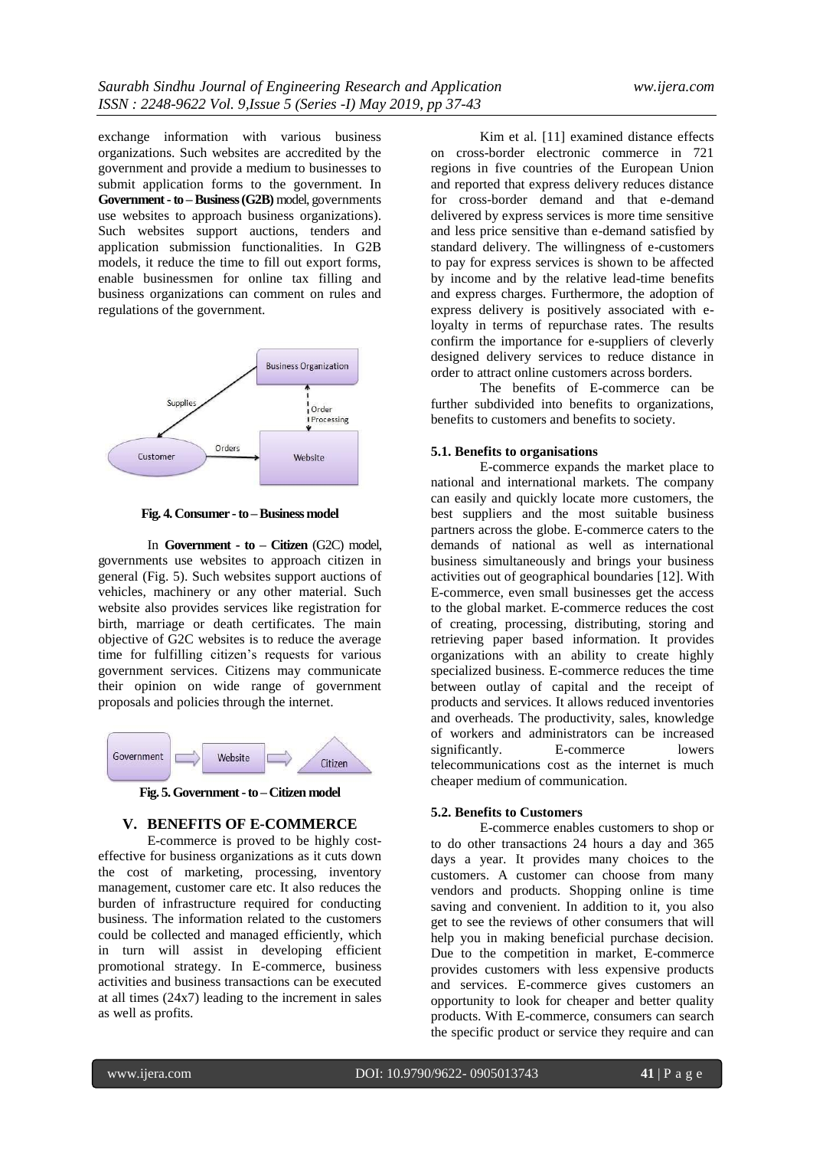exchange information with various business organizations. Such websites are accredited by the government and provide a medium to businesses to submit application forms to the government. In **Government -to –Business (G2B)** model, governments use websites to approach business organizations). Such websites support auctions, tenders and application submission functionalities. In G2B models, it reduce the time to fill out export forms, enable businessmen for online tax filling and business organizations can comment on rules and regulations of the government.



**Fig. 4. Consumer -to –Business model**

In **Government - to – Citizen** (G2C) model, governments use websites to approach citizen in general (Fig. 5). Such websites support auctions of vehicles, machinery or any other material. Such website also provides services like registration for birth, marriage or death certificates. The main objective of G2C websites is to reduce the average time for fulfilling citizen"s requests for various government services. Citizens may communicate their opinion on wide range of government proposals and policies through the internet.



**Fig. 5. Government -to – Citizen model**

### **V. BENEFITS OF E-COMMERCE**

E-commerce is proved to be highly costeffective for business organizations as it cuts down the cost of marketing, processing, inventory management, customer care etc. It also reduces the burden of infrastructure required for conducting business. The information related to the customers could be collected and managed efficiently, which in turn will assist in developing efficient promotional strategy. In E-commerce, business activities and business transactions can be executed at all times (24x7) leading to the increment in sales as well as profits.

Kim et al. [11] examined distance effects on cross-border electronic commerce in 721 regions in five countries of the European Union and reported that express delivery reduces distance for cross-border demand and that e-demand delivered by express services is more time sensitive and less price sensitive than e-demand satisfied by standard delivery. The willingness of e-customers to pay for express services is shown to be affected by income and by the relative lead-time benefits and express charges. Furthermore, the adoption of express delivery is positively associated with eloyalty in terms of repurchase rates. The results confirm the importance for e-suppliers of cleverly designed delivery services to reduce distance in order to attract online customers across borders.

The benefits of E-commerce can be further subdivided into benefits to organizations, benefits to customers and benefits to society.

#### **5.1. Benefits to organisations**

E-commerce expands the market place to national and international markets. The company can easily and quickly locate more customers, the best suppliers and the most suitable business partners across the globe. E-commerce caters to the demands of national as well as international business simultaneously and brings your business activities out of geographical boundaries [12]. With E-commerce, even small businesses get the access to the global market. E-commerce reduces the cost of creating, processing, distributing, storing and retrieving paper based information. It provides organizations with an ability to create highly specialized business. E-commerce reduces the time between outlay of capital and the receipt of products and services. It allows reduced inventories and overheads. The productivity, sales, knowledge of workers and administrators can be increased significantly. E-commerce lowers telecommunications cost as the internet is much cheaper medium of communication.

### **5.2. Benefits to Customers**

E-commerce enables customers to shop or to do other transactions 24 hours a day and 365 days a year. It provides many choices to the customers. A customer can choose from many vendors and products. Shopping online is time saving and convenient. In addition to it, you also get to see the reviews of other consumers that will help you in making beneficial purchase decision. Due to the competition in market, E-commerce provides customers with less expensive products and services. E-commerce gives customers an opportunity to look for cheaper and better quality products. With E-commerce, consumers can search the specific product or service they require and can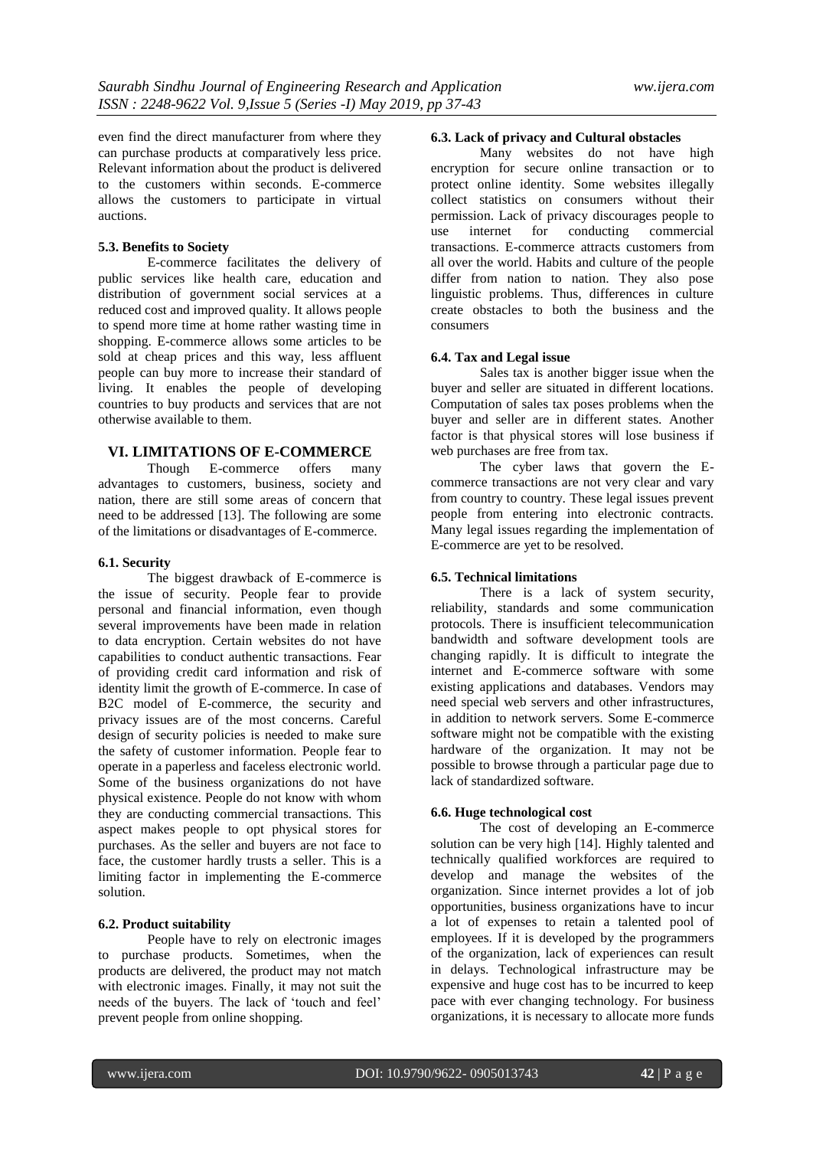even find the direct manufacturer from where they can purchase products at comparatively less price. Relevant information about the product is delivered to the customers within seconds. E-commerce allows the customers to participate in virtual auctions.

#### **5.3. Benefits to Society**

E-commerce facilitates the delivery of public services like health care, education and distribution of government social services at a reduced cost and improved quality. It allows people to spend more time at home rather wasting time in shopping. E-commerce allows some articles to be sold at cheap prices and this way, less affluent people can buy more to increase their standard of living. It enables the people of developing countries to buy products and services that are not otherwise available to them.

### **VI. LIMITATIONS OF E-COMMERCE**

Though E-commerce offers many advantages to customers, business, society and nation, there are still some areas of concern that need to be addressed [13]. The following are some of the limitations or disadvantages of E-commerce.

### **6.1. Security**

The biggest drawback of E-commerce is the issue of security. People fear to provide personal and financial information, even though several improvements have been made in relation to data encryption. Certain websites do not have capabilities to conduct authentic transactions. Fear of providing credit card information and risk of identity limit the growth of E-commerce. In case of B2C model of E-commerce, the security and privacy issues are of the most concerns. Careful design of security policies is needed to make sure the safety of customer information. People fear to operate in a paperless and faceless electronic world. Some of the business organizations do not have physical existence. People do not know with whom they are conducting commercial transactions. This aspect makes people to opt physical stores for purchases. As the seller and buyers are not face to face, the customer hardly trusts a seller. This is a limiting factor in implementing the E-commerce solution.

#### **6.2. Product suitability**

People have to rely on electronic images to purchase products. Sometimes, when the products are delivered, the product may not match with electronic images. Finally, it may not suit the needs of the buyers. The lack of "touch and feel" prevent people from online shopping.

#### **6.3. Lack of privacy and Cultural obstacles**

Many websites do not have high encryption for secure online transaction or to protect online identity. Some websites illegally collect statistics on consumers without their permission. Lack of privacy discourages people to use internet for conducting commercial transactions. E-commerce attracts customers from all over the world. Habits and culture of the people differ from nation to nation. They also pose linguistic problems. Thus, differences in culture create obstacles to both the business and the consumers

## **6.4. Tax and Legal issue**

Sales tax is another bigger issue when the buyer and seller are situated in different locations. Computation of sales tax poses problems when the buyer and seller are in different states. Another factor is that physical stores will lose business if web purchases are free from tax.

The cyber laws that govern the Ecommerce transactions are not very clear and vary from country to country. These legal issues prevent people from entering into electronic contracts. Many legal issues regarding the implementation of E-commerce are yet to be resolved.

#### **6.5. Technical limitations**

There is a lack of system security, reliability, standards and some communication protocols. There is insufficient telecommunication bandwidth and software development tools are changing rapidly. It is difficult to integrate the internet and E-commerce software with some existing applications and databases. Vendors may need special web servers and other infrastructures, in addition to network servers. Some E-commerce software might not be compatible with the existing hardware of the organization. It may not be possible to browse through a particular page due to lack of standardized software.

### **6.6. Huge technological cost**

The cost of developing an E-commerce solution can be very high [14]. Highly talented and technically qualified workforces are required to develop and manage the websites of the organization. Since internet provides a lot of job opportunities, business organizations have to incur a lot of expenses to retain a talented pool of employees. If it is developed by the programmers of the organization, lack of experiences can result in delays. Technological infrastructure may be expensive and huge cost has to be incurred to keep pace with ever changing technology. For business organizations, it is necessary to allocate more funds